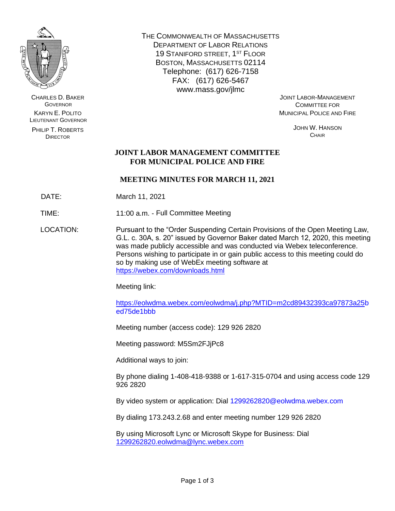

CHARLES D. BAKER **GOVERNOR** KARYN E. POLITO LIEUTENANT GOVERNOR

PHILIP T. ROBERTS DIRECTOR

THE COMMONWEALTH OF MASSACHUSETTS DEPARTMENT OF LABOR RELATIONS 19 STANIFORD STREET, 1ST FLOOR BOSTON, MASSACHUSETTS 02114 Telephone: (617) 626-7158 FAX: (617) 626-5467 www.mass.gov/jlmc

JOINT LABOR-MANAGEMENT COMMITTEE FOR MUNICIPAL POLICE AND FIRE

> JOHN W. HANSON **CHAIR**

# **JOINT LABOR MANAGEMENT COMMITTEE FOR MUNICIPAL POLICE AND FIRE**

# **MEETING MINUTES FOR MARCH 11, 2021**

DATE: March 11, 2021

TIME: 11:00 a.m. - Full Committee Meeting

LOCATION: Pursuant to the "Order Suspending Certain Provisions of the Open Meeting Law, G.L. c. 30A, s. 20" issued by Governor Baker dated March 12, 2020, this meeting was made publicly accessible and was conducted via Webex teleconference. Persons wishing to participate in or gain public access to this meeting could do so by making use of WebEx meeting software at <https://webex.com/downloads.html>

Meeting link:

[https://eolwdma.webex.com/eolwdma/j.php?MTID=m2cd89432393ca97873a25b](https://eolwdma.webex.com/eolwdma/j.php?MTID=m2cd89432393ca97873a25) ed75de1bbb

Meeting number (access code): 129 926 2820

Meeting password: M5Sm2FJjPc8

Additional ways to join:

By phone dialing 1-408-418-9388 or 1-617-315-0704 and using access code 129 926 2820

By video system or application: Dial 1299262820@eolwdma.webex.com

By dialing 173.243.2.68 and enter meeting number 129 926 2820

By using Microsoft Lync or Microsoft Skype for Business: Dial [1299262820.eolwdma@lync.webex.com](mailto:1299262820.eolwdma@lync.webex.com)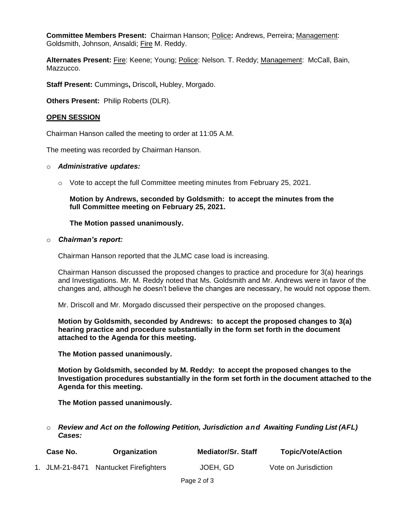**Committee Members Present:** Chairman Hanson; Police**:** Andrews, Perreira; Management: Goldsmith, Johnson, Ansaldi; Fire M. Reddy.

Alternates Present: Fire: Keene; Young; Police: Nelson. T. Reddy; Management: McCall, Bain, Mazzucco.

**Staff Present:** Cummings**,** Driscoll**,** Hubley, Morgado.

**Others Present:** Philip Roberts (DLR).

## **OPEN SESSION**

Chairman Hanson called the meeting to order at 11:05 A.M.

The meeting was recorded by Chairman Hanson.

#### o *Administrative updates:*

 $\circ$  Vote to accept the full Committee meeting minutes from February 25, 2021.

## **Motion by Andrews, seconded by Goldsmith: to accept the minutes from the full Committee meeting on February 25, 2021.**

## **The Motion passed unanimously.**

#### o *Chairman's report:*

Chairman Hanson reported that the JLMC case load is increasing.

Chairman Hanson discussed the proposed changes to practice and procedure for 3(a) hearings and Investigations. Mr. M. Reddy noted that Ms. Goldsmith and Mr. Andrews were in favor of the changes and, although he doesn't believe the changes are necessary, he would not oppose them.

Mr. Driscoll and Mr. Morgado discussed their perspective on the proposed changes.

**Motion by Goldsmith, seconded by Andrews: to accept the proposed changes to 3(a) hearing practice and procedure substantially in the form set forth in the document attached to the Agenda for this meeting.**

**The Motion passed unanimously.**

**Motion by Goldsmith, seconded by M. Reddy: to accept the proposed changes to the Investigation procedures substantially in the form set forth in the document attached to the Agenda for this meeting.**

**The Motion passed unanimously.**

o *Review and Act on the following Petition, Jurisdiction and Awaiting Funding List (AFL) Cases:*

| Case No. | Organization                          | <b>Mediator/Sr. Staff</b> | <b>Topic/Vote/Action</b> |
|----------|---------------------------------------|---------------------------|--------------------------|
|          | 1. JLM-21-8471 Nantucket Firefighters | JOEH, GD                  | Vote on Jurisdiction     |